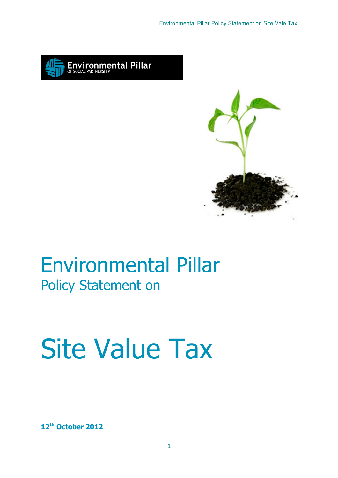



## Environmental Pillar Policy Statement on

# Site Value Tax

12<sup>th</sup> October 2012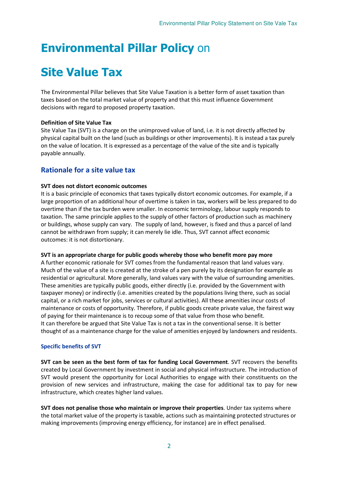### Environmental Pillar Policy on

## Site Value Tax

The Environmental Pillar believes that Site Value Taxation is a better form of asset taxation than taxes based on the total market value of property and that this must influence Government decisions with regard to proposed property taxation.

#### Definition of Site Value Tax

Site Value Tax (SVT) is a charge on the unimproved value of land, i.e. it is not directly affected by physical capital built on the land (such as buildings or other improvements). It is instead a tax purely on the value of location. It is expressed as a percentage of the value of the site and is typically payable annually.

#### Rationale for a site value tax

#### SVT does not distort economic outcomes

It is a basic principle of economics that taxes typically distort economic outcomes. For example, if a large proportion of an additional hour of overtime is taken in tax, workers will be less prepared to do overtime than if the tax burden were smaller. In economic terminology, labour supply responds to taxation. The same principle applies to the supply of other factors of production such as machinery or buildings, whose supply can vary. The supply of land, however, is fixed and thus a parcel of land cannot be withdrawn from supply'; it can merely lie idle. Thus, SVT cannot affect economic outcomes: it is not distortionary.

#### SVT is an appropriate charge for public goods whereby those who benefit more pay more

A further economic rationale for SVT comes from the fundamental reason that land values vary. Much of the value of a site is created at the stroke of a pen purely by its designation for example as residential or agricultural. More generally, land values vary with the value of surrounding amenities. These amenities are typically public goods, either directly (i.e. provided by the Government with taxpayer money) or indirectly (i.e. amenities created by the populations living there, such as social capital, or a rich market for jobs, services or cultural activities). All these amenities incur costs of maintenance or costs of opportunity. Therefore, if public goods create private value, the fairest way of paying for their maintenance is to recoup some of that value from those who benefit. It can therefore be argued that Site Value Tax is not a tax in the conventional sense. It is better thought of as a maintenance charge for the value of amenities enjoyed by landowners and residents.

#### Specific benefits of SVT

SVT can be seen as the best form of tax for funding Local Government. SVT recovers the benefits created by Local Government by investment in social and physical infrastructure. The introduction of SVT would present the opportunity for Local Authorities to engage with their constituents on the provision of new services and infrastructure, making the case for additional tax to pay for new infrastructure, which creates higher land values.

SVT does not penalise those who maintain or improve their properties. Under tax systems where the total market value of the property is taxable, actions such as maintaining protected structures or making improvements (improving energy efficiency, for instance) are in effect penalised.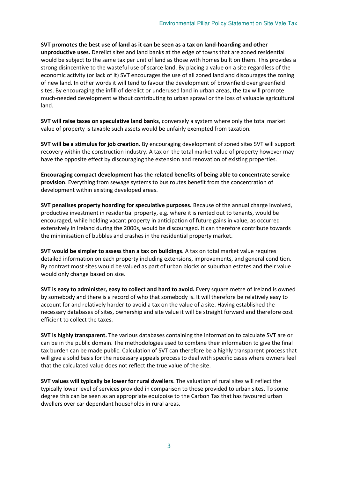#### SVT promotes the best use of land as it can be seen as a tax on land‐hoarding and other

unproductive uses. Derelict sites and land banks at the edge of towns that are zoned residential would be subject to the same tax per unit of land as those with homes built on them. This provides a strong disincentive to the wasteful use of scarce land. By placing a value on a site regardless of the economic activity (or lack of it) SVT encourages the use of all zoned land and discourages the zoning of new land. In other words it will tend to favour the development of brownfield over greenfield sites. By encouraging the infill of derelict or underused land in urban areas, the tax will promote much-needed development without contributing to urban sprawl or the loss of valuable agricultural land.

SVT will raise taxes on speculative land banks, conversely a system where only the total market value of property is taxable such assets would be unfairly exempted from taxation.

SVT will be a stimulus for job creation. By encouraging development of zoned sites SVT will support recovery within the construction industry. A tax on the total market value of property however may have the opposite effect by discouraging the extension and renovation of existing properties.

Encouraging compact development has the related benefits of being able to concentrate service provision. Everything from sewage systems to bus routes benefit from the concentration of development within existing developed areas.

SVT penalises property hoarding for speculative purposes. Because of the annual charge involved, productive investment in residential property, e.g. where it is rented out to tenants, would be encouraged, while holding vacant property in anticipation of future gains in value, as occurred extensively in Ireland during the 2000s, would be discouraged. It can therefore contribute towards the minimisation of bubbles and crashes in the residential property market.

SVT would be simpler to assess than a tax on buildings. A tax on total market value requires detailed information on each property including extensions, improvements, and general condition. By contrast most sites would be valued as part of urban blocks or suburban estates and their value would only change based on size.

SVT is easy to administer, easy to collect and hard to avoid. Every square metre of Ireland is owned by somebody and there is a record of who that somebody is. It will therefore be relatively easy to account for and relatively harder to avoid a tax on the value of a site. Having established the necessary databases of sites, ownership and site value it will be straight forward and therefore cost efficient to collect the taxes.

SVT is highly transparent. The various databases containing the information to calculate SVT are or can be in the public domain. The methodologies used to combine their information to give the final tax burden can be made public. Calculation of SVT can therefore be a highly transparent process that will give a solid basis for the necessary appeals process to deal with specific cases where owners feel that the calculated value does not reflect the true value of the site.

SVT values will typically be lower for rural dwellers. The valuation of rural sites will reflect the typically lower level of services provided in comparison to those provided to urban sites. To some degree this can be seen as an appropriate equipoise to the Carbon Tax that has favoured urban dwellers over car dependant households in rural areas.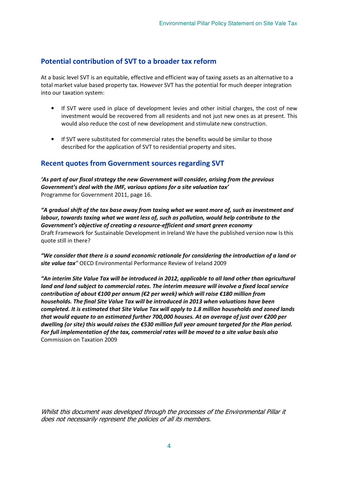#### Potential contribution of SVT to a broader tax reform

At a basic level SVT is an equitable, effective and efficient way of taxing assets as an alternative to a total market value based property tax. However SVT has the potential for much deeper integration into our taxation system:

- If SVT were used in place of development levies and other initial charges, the cost of new investment would be recovered from all residents and not just new ones as at present. This would also reduce the cost of new development and stimulate new construction.
- If SVT were substituted for commercial rates the benefits would be similar to those described for the application of SVT to residential property and sites.

#### Recent quotes from Government sources regarding SVT

'As part of our fiscal strategy the new Government will consider, arising from the previous Government's deal with the IMF, various options for a site valuation tax' Programme for Government 2011, page 16.

"A gradual shift of the tax base away from taxing what we want more of, such as investment and labour, towards taxing what we want less of, such as pollution, would help contribute to the Government's objective of creating a resource-efficient and smart green economy Draft Framework for Sustainable Development in Ireland We have the published version now Is this quote still in there?

"We consider that there is a sound economic rationale for considering the introduction of a land or site value tax" OECD Environmental Performance Review of Ireland 2009

"An interim Site Value Tax will be introduced in 2012, applicable to all land other than agricultural land and land subject to commercial rates. The interim measure will involve a fixed local service contribution of about €100 per annum (€2 per week) which will raise €180 million from households. The final Site Value Tax will be introduced in 2013 when valuations have been completed. It is estimated that Site Value Tax will apply to 1.8 million households and zoned lands that would equate to an estimated further 700,000 houses. At an average of just over €200 per dwelling (or site) this would raises the €530 million full year amount targeted for the Plan period. For full implementation of the tax, commercial rates will be moved to a site value basis also Commission on Taxation 2009

Whilst this document was developed through the processes of the Environmental Pillar it does not necessarily represent the policies of all its members.